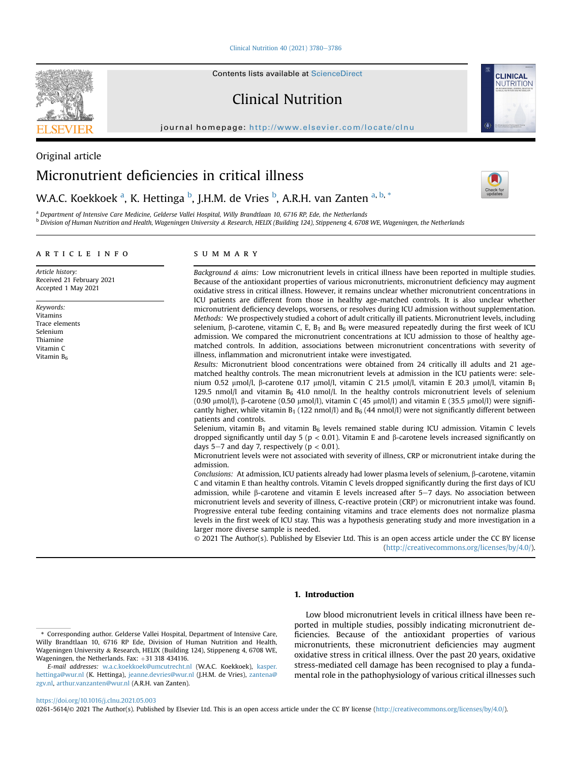[Clinical Nutrition 40 \(2021\) 3780](https://doi.org/10.1016/j.clnu.2021.05.003)-[3786](https://doi.org/10.1016/j.clnu.2021.05.003)

Contents lists available at ScienceDirect

Clinical Nutrition

journal homepage: <http://www.elsevier.com/locate/clnu>



W.A.C. Koekkoek <sup>[a](#page-0-0)</sup>, K. Hettinga <sup>[b](#page-0-1)</sup>, J.H.M. de Vries <sup>b</sup>, A.R.H. van Zanten <sup>a, [b,](#page-0-1) [\\*](#page-0-2)</sup>

<span id="page-0-1"></span><span id="page-0-0"></span><sup>a</sup> Department of Intensive Care Medicine, Gelderse Vallei Hospital, Willy Brandtlaan 10, 6716 RP, Ede, the Netherlands  $^{\rm b}$  Division of Human Nutrition and Health, Wageningen University & Research, HELIX (Building 124), Stippeneng 4, 6708 WE, Wageningen, the Netherlands

# article info

Article history: Received 21 February 2021 Accepted 1 May 2021

Keywords: Vitamins Trace elements Selenium Thiamine Vitamin C Vitamin  $B_6$ 

# SUMMARY

Background  $\&$  aims: Low micronutrient levels in critical illness have been reported in multiple studies. Because of the antioxidant properties of various micronutrients, micronutrient deficiency may augment oxidative stress in critical illness. However, it remains unclear whether micronutrient concentrations in ICU patients are different from those in healthy age-matched controls. It is also unclear whether micronutrient deficiency develops, worsens, or resolves during ICU admission without supplementation. Methods: We prospectively studied a cohort of adult critically ill patients. Micronutrient levels, including selenium,  $\beta$ -carotene, vitamin C, E, B<sub>1</sub> and B<sub>6</sub> were measured repeatedly during the first week of ICU admission. We compared the micronutrient concentrations at ICU admission to those of healthy agematched controls. In addition, associations between micronutrient concentrations with severity of illness, inflammation and micronutrient intake were investigated.

Results: Micronutrient blood concentrations were obtained from 24 critically ill adults and 21 agematched healthy controls. The mean micronutrient levels at admission in the ICU patients were: selenium 0.52  $\mu$ mol/l,  $\beta$ -carotene 0.17  $\mu$ mol/l, vitamin C 21.5  $\mu$ mol/l, vitamin E 20.3  $\mu$ mol/l, vitamin B<sub>1</sub> 129.5 nmol/l and vitamin  $B_6$  41.0 nmol/l. In the healthy controls micronutrient levels of selenium (0.90  $\mu$ mol/l),  $\beta$ -carotene (0.50  $\mu$ mol/l), vitamin C (45  $\mu$ mol/l) and vitamin E (35.5  $\mu$ mol/l) were significantly higher, while vitamin  $B_1$  (122 nmol/l) and  $B_6$  (44 nmol/l) were not significantly different between patients and controls.

Selenium, vitamin  $B_1$  and vitamin  $B_6$  levels remained stable during ICU admission. Vitamin C levels dropped significantly until day 5 ( $p < 0.01$ ). Vitamin E and  $\beta$ -carotene levels increased significantly on days 5–7 and day 7, respectively ( $p < 0.01$ ).

Micronutrient levels were not associated with severity of illness, CRP or micronutrient intake during the admission.

Conclusions: At admission, ICU patients already had lower plasma levels of selenium,  $\beta$ -carotene, vitamin C and vitamin E than healthy controls. Vitamin C levels dropped significantly during the first days of ICU admission, while  $\beta$ -carotene and vitamin E levels increased after 5-7 days. No association between micronutrient levels and severity of illness, C-reactive protein (CRP) or micronutrient intake was found. Progressive enteral tube feeding containing vitamins and trace elements does not normalize plasma levels in the first week of ICU stay. This was a hypothesis generating study and more investigation in a larger more diverse sample is needed.

© 2021 The Author(s). Published by Elsevier Ltd. This is an open access article under the CC BY license [\(http://creativecommons.org/licenses/by/4.0/](http://creativecommons.org/licenses/by/4.0/)).

# 1. Introduction

Low blood micronutrient levels in critical illness have been reported in multiple studies, possibly indicating micronutrient deficiencies. Because of the antioxidant properties of various micronutrients, these micronutrient deficiencies may augment oxidative stress in critical illness. Over the past 20 years, oxidative stress-mediated cell damage has been recognised to play a fundamental role in the pathophysiology of various critical illnesses such

<https://doi.org/10.1016/j.clnu.2021.05.003>

0261-5614/© 2021 The Author(s). Published by Elsevier Ltd. This is an open access article under the CC BY license [\(http://creativecommons.org/licenses/by/4.0/](http://creativecommons.org/licenses/by/4.0/)).







<span id="page-0-2"></span><sup>\*</sup> Corresponding author. Gelderse Vallei Hospital, Department of Intensive Care, Willy Brandtlaan 10, 6716 RP Ede, Division of Human Nutrition and Health, Wageningen University & Research, HELIX (Building 124), Stippeneng 4, 6708 WE, Wageningen, the Netherlands. Fax:  $+31$  318 434116.

E-mail addresses: [w.a.c.koekkoek@umcutrecht.nl](mailto:w.a.c.koekkoek@umcutrecht.nl) (W.A.C. Koekkoek), [kasper.](mailto:kasper.hettinga@wur.nl) [hettinga@wur.nl](mailto:kasper.hettinga@wur.nl) (K. Hettinga), [jeanne.devries@wur.nl](mailto:jeanne.devries@wur.nl) (J.H.M. de Vries), [zantena@](mailto:zantena@zgv.nl) [zgv.nl](mailto:zantena@zgv.nl), [arthur.vanzanten@wur.nl](mailto:arthur.vanzanten@wur.nl) (A.R.H. van Zanten).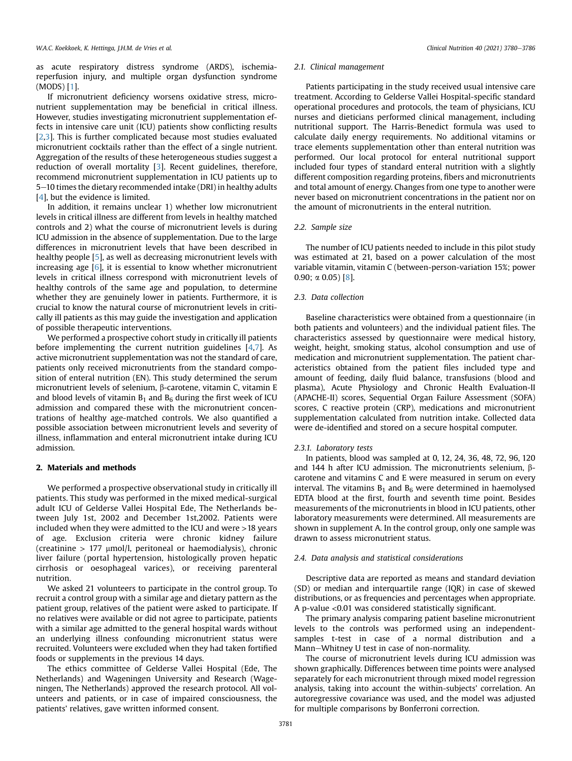as acute respiratory distress syndrome (ARDS), ischemiareperfusion injury, and multiple organ dysfunction syndrome (MODS) [[1](#page-5-0)].

If micronutrient deficiency worsens oxidative stress, micronutrient supplementation may be beneficial in critical illness. However, studies investigating micronutrient supplementation effects in intensive care unit (ICU) patients show conflicting results [[2](#page-5-1)[,3\]](#page-5-2). This is further complicated because most studies evaluated micronutrient cocktails rather than the effect of a single nutrient. Aggregation of the results of these heterogeneous studies suggest a reduction of overall mortality [[3\]](#page-5-2). Recent guidelines, therefore, recommend micronutrient supplementation in ICU patients up to 5-10 times the dietary recommended intake (DRI) in healthy adults [[4](#page-5-3)], but the evidence is limited.

In addition, it remains unclear 1) whether low micronutrient levels in critical illness are different from levels in healthy matched controls and 2) what the course of micronutrient levels is during ICU admission in the absence of supplementation. Due to the large differences in micronutrient levels that have been described in healthy people [[5\]](#page-5-4), as well as decreasing micronutrient levels with increasing age [[6](#page-6-0)], it is essential to know whether micronutrient levels in critical illness correspond with micronutrient levels of healthy controls of the same age and population, to determine whether they are genuinely lower in patients. Furthermore, it is crucial to know the natural course of micronutrient levels in critically ill patients as this may guide the investigation and application of possible therapeutic interventions.

We performed a prospective cohort study in critically ill patients before implementing the current nutrition guidelines [[4](#page-5-3)[,7](#page-6-1)]. As active micronutrient supplementation was not the standard of care, patients only received micronutrients from the standard composition of enteral nutrition (EN). This study determined the serum micronutrient levels of selenium,  $\beta$ -carotene, vitamin C, vitamin E and blood levels of vitamin  $B_1$  and  $B_6$  during the first week of ICU admission and compared these with the micronutrient concentrations of healthy age-matched controls. We also quantified a possible association between micronutrient levels and severity of illness, inflammation and enteral micronutrient intake during ICU admission.

# 2. Materials and methods

We performed a prospective observational study in critically ill patients. This study was performed in the mixed medical-surgical adult ICU of Gelderse Vallei Hospital Ede, The Netherlands between July 1st, 2002 and December 1st,2002. Patients were included when they were admitted to the ICU and were >18 years of age. Exclusion criteria were chronic kidney failure (creatinine  $> 177$  µmol/l, peritoneal or haemodialysis), chronic liver failure (portal hypertension, histologically proven hepatic cirrhosis or oesophageal varices), or receiving parenteral nutrition.

We asked 21 volunteers to participate in the control group. To recruit a control group with a similar age and dietary pattern as the patient group, relatives of the patient were asked to participate. If no relatives were available or did not agree to participate, patients with a similar age admitted to the general hospital wards without an underlying illness confounding micronutrient status were recruited. Volunteers were excluded when they had taken fortified foods or supplements in the previous 14 days.

The ethics committee of Gelderse Vallei Hospital (Ede, The Netherlands) and Wageningen University and Research (Wageningen, The Netherlands) approved the research protocol. All volunteers and patients, or in case of impaired consciousness, the patients' relatives, gave written informed consent.

#### 2.1. Clinical management

Patients participating in the study received usual intensive care treatment. According to Gelderse Vallei Hospital-specific standard operational procedures and protocols, the team of physicians, ICU nurses and dieticians performed clinical management, including nutritional support. The Harris-Benedict formula was used to calculate daily energy requirements. No additional vitamins or trace elements supplementation other than enteral nutrition was performed. Our local protocol for enteral nutritional support included four types of standard enteral nutrition with a slightly different composition regarding proteins, fibers and micronutrients and total amount of energy. Changes from one type to another were never based on micronutrient concentrations in the patient nor on the amount of micronutrients in the enteral nutrition.

#### 2.2. Sample size

The number of ICU patients needed to include in this pilot study was estimated at 21, based on a power calculation of the most variable vitamin, vitamin C (between-person-variation 15%; power 0.90;  $\alpha$  0.05) [[8\]](#page-6-2).

# 2.3. Data collection

Baseline characteristics were obtained from a questionnaire (in both patients and volunteers) and the individual patient files. The characteristics assessed by questionnaire were medical history, weight, height, smoking status, alcohol consumption and use of medication and micronutrient supplementation. The patient characteristics obtained from the patient files included type and amount of feeding, daily fluid balance, transfusions (blood and plasma), Acute Physiology and Chronic Health Evaluation-II (APACHE-II) scores, Sequential Organ Failure Assessment (SOFA) scores, C reactive protein (CRP), medications and micronutrient supplementation calculated from nutrition intake. Collected data were de-identified and stored on a secure hospital computer.

#### 2.3.1. Laboratory tests

In patients, blood was sampled at 0, 12, 24, 36, 48, 72, 96, 120 and 144 h after ICU admission. The micronutrients selenium,  $\beta$ carotene and vitamins C and E were measured in serum on every interval. The vitamins  $B_1$  and  $B_6$  were determined in haemolysed EDTA blood at the first, fourth and seventh time point. Besides measurements of the micronutrients in blood in ICU patients, other laboratory measurements were determined. All measurements are shown in supplement A. In the control group, only one sample was drawn to assess micronutrient status.

### 2.4. Data analysis and statistical considerations

Descriptive data are reported as means and standard deviation (SD) or median and interquartile range (IQR) in case of skewed distributions, or as frequencies and percentages when appropriate. A p-value <0.01 was considered statistically significant.

The primary analysis comparing patient baseline micronutrient levels to the controls was performed using an independentsamples t-test in case of a normal distribution and a Mann-Whitney U test in case of non-normality.

The course of micronutrient levels during ICU admission was shown graphically. Differences between time points were analysed separately for each micronutrient through mixed model regression analysis, taking into account the within-subjects' correlation. An autoregressive covariance was used, and the model was adjusted for multiple comparisons by Bonferroni correction.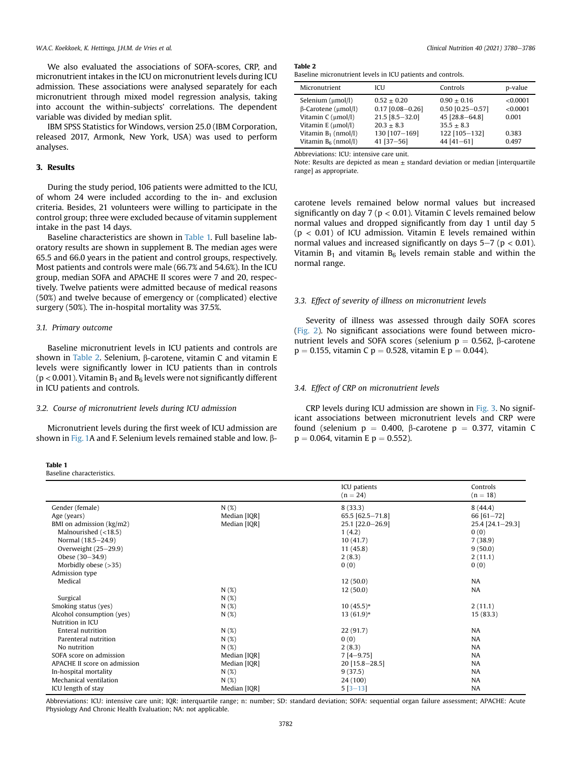We also evaluated the associations of SOFA-scores, CRP, and micronutrient intakes in the ICU on micronutrient levels during ICU admission. These associations were analysed separately for each micronutrient through mixed model regression analysis, taking into account the within-subjects' correlations. The dependent variable was divided by median split.

IBM SPSS Statistics for Windows, version 25.0 (IBM Corporation, released 2017, Armonk, New York, USA) was used to perform analyses.

# 3. Results

During the study period, 106 patients were admitted to the ICU, of whom 24 were included according to the in- and exclusion criteria. Besides, 21 volunteers were willing to participate in the control group; three were excluded because of vitamin supplement intake in the past 14 days.

Baseline characteristics are shown in [Table 1.](#page-2-0) Full baseline laboratory results are shown in supplement B. The median ages were 65.5 and 66.0 years in the patient and control groups, respectively. Most patients and controls were male (66.7% and 54.6%). In the ICU group, median SOFA and APACHE II scores were 7 and 20, respectively. Twelve patients were admitted because of medical reasons (50%) and twelve because of emergency or (complicated) elective surgery (50%). The in-hospital mortality was 37.5%.

### 3.1. Primary outcome

Baseline micronutrient levels in ICU patients and controls are shown in [Table 2.](#page-2-1) Selenium,  $\beta$ -carotene, vitamin C and vitamin E levels were significantly lower in ICU patients than in controls ( $p$  < 0.001). Vitamin  $B_1$  and  $B_6$  levels were not significantly different in ICU patients and controls.

### 3.2. Course of micronutrient levels during ICU admission

Micronutrient levels during the first week of ICU admission are shown in [Fig. 1](#page-3-0)A and F. Selenium levels remained stable and low.  $\beta$ -

#### <span id="page-2-0"></span>Table 1

Baseline characteristics.

<span id="page-2-1"></span>**Table** 

|  |  |  | Baseline micronutrient levels in ICU patients and controls. |  |  |
|--|--|--|-------------------------------------------------------------|--|--|
|  |  |  |                                                             |  |  |

| Micronutrient                                                                                                                                         | ICU                                                                                                     | Controls                                                                                                   | p-value                                        |
|-------------------------------------------------------------------------------------------------------------------------------------------------------|---------------------------------------------------------------------------------------------------------|------------------------------------------------------------------------------------------------------------|------------------------------------------------|
| Selenium (umol/l)<br>$\beta$ -Carotene ( $\mu$ mol/l)<br>Vitamin C (µmol/l)<br>Vitamin E (umol/l)<br>Vitamin $B_1$ (nmol/l)<br>Vitamin $B_6$ (nmol/l) | $0.52 + 0.20$<br>$0.17$ [0.08-0.26]<br>21.5 [8.5-32.0]<br>$20.3 + 8.3$<br>130 [107-169]<br>$41$ [37-56] | $0.90 + 0.16$<br>$0.50$ [0.25-0.57]<br>45 [28.8-64.8]<br>$35.5 \pm 8.3$<br>122 [105-132]<br>44 $[41 - 61]$ | < 0.0001<br><0.0001<br>0.001<br>0.383<br>0.497 |

Abbreviations: ICU: intensive care unit.

Note: Results are depicted as mean  $\pm$  standard deviation or median [interquartile range] as appropriate.

carotene levels remained below normal values but increased significantly on day 7 ( $p < 0.01$ ). Vitamin C levels remained below normal values and dropped significantly from day 1 until day 5  $(p < 0.01)$  of ICU admission. Vitamin E levels remained within normal values and increased significantly on days  $5-7$  ( $p < 0.01$ ). Vitamin  $B_1$  and vitamin  $B_6$  levels remain stable and within the normal range.

# 3.3. Effect of severity of illness on micronutrient levels

Severity of illness was assessed through daily SOFA scores ([Fig. 2](#page-3-1)). No significant associations were found between micronutrient levels and SOFA scores (selenium  $p = 0.562$ ,  $\beta$ -carotene  $p = 0.155$ , vitamin C  $p = 0.528$ , vitamin E  $p = 0.044$ ).

# 3.4. Effect of CRP on micronutrient levels

CRP levels during ICU admission are shown in [Fig. 3](#page-3-2). No significant associations between micronutrient levels and CRP were found (selenium  $p = 0.400$ ,  $\beta$ -carotene  $p = 0.377$ , vitamin C  $p = 0.064$ , vitamin E  $p = 0.552$ ).

|                              |              | ICU patients<br>$(n = 24)$ | Controls<br>$(n = 18)$ |
|------------------------------|--------------|----------------------------|------------------------|
| Gender (female)              | N(%)         | 8(33.3)                    | 8(44.4)                |
| Age (years)                  | Median [IQR] | 65.5 [62.5-71.8]           | 66 $[61 - 72]$         |
| BMI on admission (kg/m2)     | Median [IQR] | 25.1 [22.0-26.9]           | 25.4 [24.1-29.3]       |
| Malnourished $(<18.5)$       |              | 1(4.2)                     | 0(0)                   |
| Normal (18.5-24.9)           |              | 10(41.7)                   | 7(38.9)                |
| Overweight (25-29.9)         |              | 11 (45.8)                  | 9(50.0)                |
| Obese (30-34.9)              |              | 2(8.3)                     | 2(11.1)                |
| Morbidly obese $(>35)$       |              | 0(0)                       | 0(0)                   |
| Admission type               |              |                            |                        |
| Medical                      |              | 12(50.0)                   | NA                     |
|                              | N(%)         | 12(50.0)                   | NA                     |
| Surgical                     | N(%)         |                            |                        |
| Smoking status (yes)         | N(%)         | $10(45.5)*$                | 2(11.1)                |
| Alcohol consumption (yes)    | N(%)         | $13(61.9)*$                | 15(83.3)               |
| Nutrition in ICU             |              |                            |                        |
| Enteral nutrition            | N(%)         | 22 (91.7)                  | <b>NA</b>              |
| Parenteral nutrition         | N(%)         | 0(0)                       | NA                     |
| No nutrition                 | N(%)         | 2(8.3)                     | NA                     |
| SOFA score on admission      | Median [IQR] | $7[4-9.75]$                | NA                     |
| APACHE II score on admission | Median [IQR] | 20 [15.8-28.5]             | NA                     |
| In-hospital mortality        | N(%)         | 9(37.5)                    | NA                     |
| Mechanical ventilation       | N(%)         | 24 (100)                   | NA                     |
| ICU length of stay           | Median [IQR] | $5[3-13]$                  | NA                     |

Abbreviations: ICU: intensive care unit; IQR: interquartile range; n: number; SD: standard deviation; SOFA: sequential organ failure assessment; APACHE: Acute Physiology And Chronic Health Evaluation; NA: not applicable.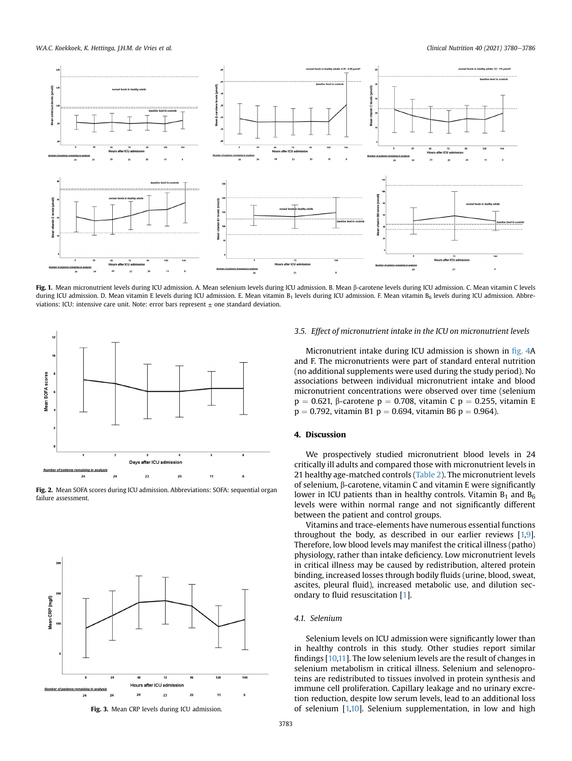<span id="page-3-0"></span>

Fig. 1. Mean micronutrient levels during ICU admission. A. Mean selenium levels during ICU admissione enere levels during ICU admission. C. Mean vitamin C levels during ICU admission. D. Mean vitamin E levels during ICU admission. E. Mean vitamin B<sub>1</sub> levels during ICU admission. B. Mean vitamin B<sub>6</sub> levels during ICU admission. Abbreviations: ICU: intensive care unit. Note: error bars represent  $\pm$  one standard deviation.

<span id="page-3-1"></span>

Fig. 2. Mean SOFA scores during ICU admission. Abbreviations: SOFA: sequential organ failure assessment.

<span id="page-3-2"></span>

Fig. 3. Mean CRP levels during ICU admission.

# 3.5. Effect of micronutrient intake in the ICU on micronutrient levels

Micronutrient intake during ICU admission is shown in fi[g. 4](#page-4-0)A and F. The micronutrients were part of standard enteral nutrition (no additional supplements were used during the study period). No associations between individual micronutrient intake and blood micronutrient concentrations were observed over time (selenium  $p = 0.621$ ,  $\beta$ -carotene  $p = 0.708$ , vitamin C  $p = 0.255$ , vitamin E  $p = 0.792$ , vitamin B1  $p = 0.694$ , vitamin B6  $p = 0.964$ ).

# 4. Discussion

We prospectively studied micronutrient blood levels in 24 critically ill adults and compared those with micronutrient levels in 21 healthy age-matched controls [\(Table 2](#page-2-1)). The micronutrient levels of selenium,  $\beta$ -carotene, vitamin C and vitamin E were significantly lower in ICU patients than in healthy controls. Vitamin  $B_1$  and  $B_6$ levels were within normal range and not significantly different between the patient and control groups.

Vitamins and trace-elements have numerous essential functions throughout the body, as described in our earlier reviews [\[1,](#page-5-0)[9\]](#page-6-3). Therefore, low blood levels may manifest the critical illness (patho) physiology, rather than intake deficiency. Low micronutrient levels in critical illness may be caused by redistribution, altered protein binding, increased losses through bodily fluids (urine, blood, sweat, ascites, pleural fluid), increased metabolic use, and dilution secondary to fluid resuscitation [\[1](#page-5-0)].

#### 4.1. Selenium

Selenium levels on ICU admission were significantly lower than in healthy controls in this study. Other studies report similar findings [[10,](#page-6-4)[11\]](#page-6-5). The low selenium levels are the result of changes in selenium metabolism in critical illness. Selenium and selenoproteins are redistributed to tissues involved in protein synthesis and immune cell proliferation. Capillary leakage and no urinary excretion reduction, despite low serum levels, lead to an additional loss of selenium [[1,](#page-5-0)[10](#page-6-4)]. Selenium supplementation, in low and high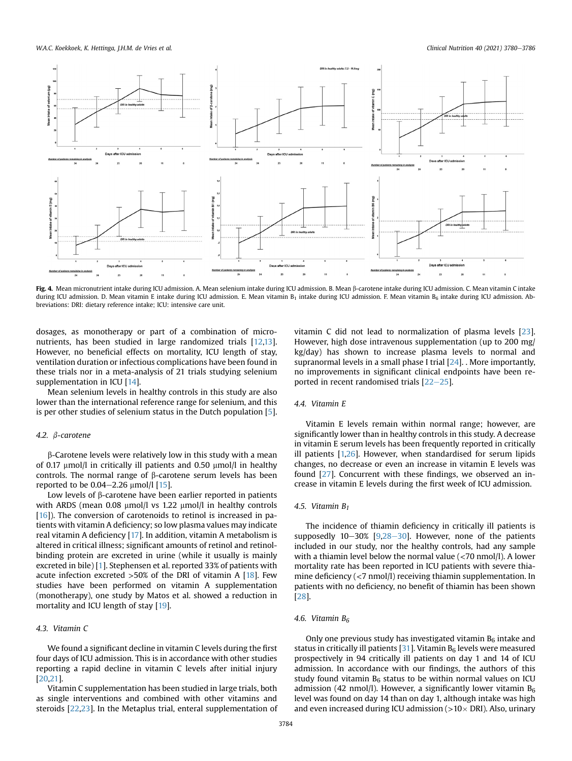<span id="page-4-0"></span>

Fig. 4. Mean micronutrient intake during ICU admission. A. Mean selenium intake during ICU admission admean entake during ICU admission. C. Mean vitamin C intake during ICU admission. D. Mean vitamin E intake during ICU admission. E. Mean vitamin B<sub>1</sub> intake during ICU admission. F. Mean vitamin B<sub>6</sub> intake during ICU admission. Abbreviations: DRI: dietary reference intake; ICU: intensive care unit.

dosages, as monotherapy or part of a combination of micronutrients, has been studied in large randomized trials [\[12](#page-6-6)[,13\]](#page-6-7). However, no beneficial effects on mortality, ICU length of stay, ventilation duration or infectious complications have been found in these trials nor in a meta-analysis of 21 trials studying selenium supplementation in ICU [\[14\]](#page-6-8).

Mean selenium levels in healthy controls in this study are also lower than the international reference range for selenium, and this is per other studies of selenium status in the Dutch population [\[5\]](#page-5-4).

# 4.2.  $\beta$ -carotene

 $\beta$ -Carotene levels were relatively low in this study with a mean of 0.17  $\mu$ mol/l in critically ill patients and 0.50  $\mu$ mol/l in healthy controls. The normal range of  $\beta$ -carotene serum levels has been reported to be  $0.04-2.26 \mu$ mol/l [\[15](#page-6-9)].

Low levels of  $\beta$ -carotene have been earlier reported in patients with ARDS (mean  $0.08 \mu$ mol/l vs 1.22  $\mu$ mol/l in healthy controls  $[16]$  $[16]$  $[16]$ ). The conversion of carotenoids to retinol is increased in patients with vitamin A deficiency; so low plasma values may indicate real vitamin A deficiency [\[17\]](#page-6-11). In addition, vitamin A metabolism is altered in critical illness; significant amounts of retinol and retinolbinding protein are excreted in urine (while it usually is mainly excreted in bile) [[1](#page-5-0)]. Stephensen et al. reported 33% of patients with acute infection excreted  $>50\%$  of the DRI of vitamin A [\[18](#page-6-12)]. Few studies have been performed on vitamin A supplementation (monotherapy), one study by Matos et al. showed a reduction in mortality and ICU length of stay [[19\]](#page-6-13).

# 4.3. Vitamin C

We found a significant decline in vitamin C levels during the first four days of ICU admission. This is in accordance with other studies reporting a rapid decline in vitamin C levels after initial injury [[20](#page-6-14),[21](#page-6-15)].

Vitamin C supplementation has been studied in large trials, both as single interventions and combined with other vitamins and steroids [\[22,](#page-6-16)[23\]](#page-6-17). In the Metaplus trial, enteral supplementation of

vitamin C did not lead to normalization of plasma levels [\[23\]](#page-6-17). However, high dose intravenous supplementation (up to 200 mg/ kg/day) has shown to increase plasma levels to normal and supranormal levels in a small phase I trial [[24\]](#page-6-18). . More importantly, no improvements in significant clinical endpoints have been reported in recent randomised trials  $[22-25]$  $[22-25]$  $[22-25]$  $[22-25]$ .

# 4.4. Vitamin E

Vitamin E levels remain within normal range; however, are significantly lower than in healthy controls in this study. A decrease in vitamin E serum levels has been frequently reported in critically ill patients [[1,](#page-5-0)[26](#page-6-19)]. However, when standardised for serum lipids changes, no decrease or even an increase in vitamin E levels was found [\[27\]](#page-6-20). Concurrent with these findings, we observed an increase in vitamin E levels during the first week of ICU admission.

# 4.5. Vitamin  $B_1$

The incidence of thiamin deficiency in critically ill patients is supposedly  $10-30\%$  [[9,](#page-6-3)[28](#page-6-21)-[30\]](#page-6-21). However, none of the patients included in our study, nor the healthy controls, had any sample with a thiamin level below the normal value (<70 nmol/l). A lower mortality rate has been reported in ICU patients with severe thiamine deficiency (<7 nmol/l) receiving thiamin supplementation. In patients with no deficiency, no benefit of thiamin has been shown [[28](#page-6-21)].

# 4.6. Vitamin  $B_6$

Only one previous study has investigated vitamin  $B<sub>6</sub>$  intake and status in critically ill patients  $[31]$  $[31]$ . Vitamin  $B_6$  levels were measured prospectively in 94 critically ill patients on day 1 and 14 of ICU admission. In accordance with our findings, the authors of this study found vitamin  $B_6$  status to be within normal values on ICU admission (42 nmol/l). However, a significantly lower vitamin  $B_6$ level was found on day 14 than on day 1, although intake was high and even increased during ICU admission (> $10\times$  DRI). Also, urinary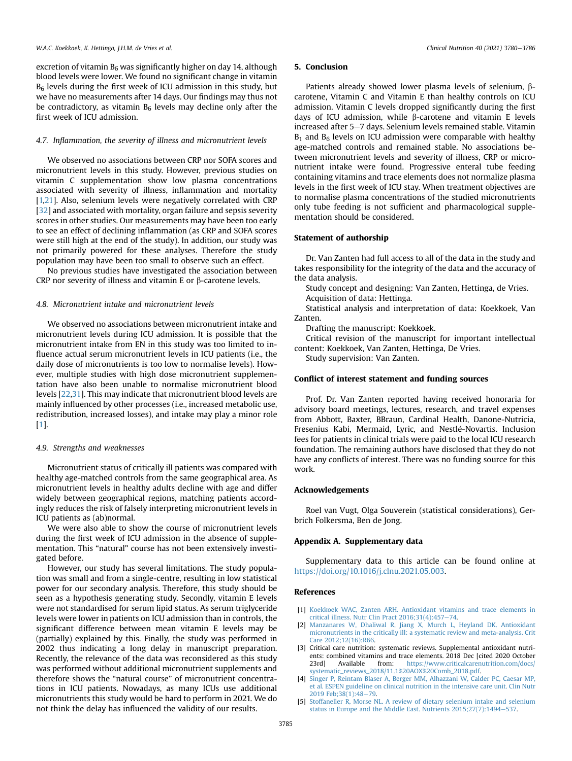excretion of vitamin  $B_6$  was significantly higher on day 14, although blood levels were lower. We found no significant change in vitamin  $B<sub>6</sub>$  levels during the first week of ICU admission in this study, but we have no measurements after 14 days. Our findings may thus not be contradictory, as vitamin  $B_6$  levels may decline only after the first week of ICU admission.

# 4.7. Inflammation, the severity of illness and micronutrient levels

We observed no associations between CRP nor SOFA scores and micronutrient levels in this study. However, previous studies on vitamin C supplementation show low plasma concentrations associated with severity of illness, inflammation and mortality [[1](#page-5-0)[,21\]](#page-6-15). Also, selenium levels were negatively correlated with CRP [[32](#page-6-23)] and associated with mortality, organ failure and sepsis severity scores in other studies. Our measurements may have been too early to see an effect of declining inflammation (as CRP and SOFA scores were still high at the end of the study). In addition, our study was not primarily powered for these analyses. Therefore the study population may have been too small to observe such an effect.

No previous studies have investigated the association between CRP nor severity of illness and vitamin E or  $\beta$ -carotene levels.

# 4.8. Micronutrient intake and micronutrient levels

We observed no associations between micronutrient intake and micronutrient levels during ICU admission. It is possible that the micronutrient intake from EN in this study was too limited to influence actual serum micronutrient levels in ICU patients (i.e., the daily dose of micronutrients is too low to normalise levels). However, multiple studies with high dose micronutrient supplementation have also been unable to normalise micronutrient blood levels [[22](#page-6-16)[,31](#page-6-22)]. This may indicate that micronutrient blood levels are mainly influenced by other processes (i.e., increased metabolic use, redistribution, increased losses), and intake may play a minor role [[1](#page-5-0)].

#### 4.9. Strengths and weaknesses

Micronutrient status of critically ill patients was compared with healthy age-matched controls from the same geographical area. As micronutrient levels in healthy adults decline with age and differ widely between geographical regions, matching patients accordingly reduces the risk of falsely interpreting micronutrient levels in ICU patients as (ab)normal.

We were also able to show the course of micronutrient levels during the first week of ICU admission in the absence of supplementation. This "natural" course has not been extensively investigated before.

However, our study has several limitations. The study population was small and from a single-centre, resulting in low statistical power for our secondary analysis. Therefore, this study should be seen as a hypothesis generating study. Secondly, vitamin E levels were not standardised for serum lipid status. As serum triglyceride levels were lower in patients on ICU admission than in controls, the significant difference between mean vitamin E levels may be (partially) explained by this. Finally, the study was performed in 2002 thus indicating a long delay in manuscript preparation. Recently, the relevance of the data was reconsidered as this study was performed without additional micronutrient supplements and therefore shows the "natural course" of micronutrient concentrations in ICU patients. Nowadays, as many ICUs use additional micronutrients this study would be hard to perform in 2021. We do not think the delay has influenced the validity of our results.

### 5. Conclusion

Patients already showed lower plasma levels of selenium,  $\beta$ carotene, Vitamin C and Vitamin E than healthy controls on ICU admission. Vitamin C levels dropped significantly during the first days of ICU admission, while  $\beta$ -carotene and vitamin E levels increased after 5–7 days. Selenium levels remained stable. Vitamin  $B_1$  and  $B_6$  levels on ICU admission were comparable with healthy age-matched controls and remained stable. No associations between micronutrient levels and severity of illness, CRP or micronutrient intake were found. Progressive enteral tube feeding containing vitamins and trace elements does not normalize plasma levels in the first week of ICU stay. When treatment objectives are to normalise plasma concentrations of the studied micronutrients only tube feeding is not sufficient and pharmacological supplementation should be considered.

# Statement of authorship

Dr. Van Zanten had full access to all of the data in the study and takes responsibility for the integrity of the data and the accuracy of the data analysis.

Study concept and designing: Van Zanten, Hettinga, de Vries. Acquisition of data: Hettinga.

Statistical analysis and interpretation of data: Koekkoek, Van Zanten.

Drafting the manuscript: Koekkoek.

Critical revision of the manuscript for important intellectual content: Koekkoek, Van Zanten, Hettinga, De Vries.

Study supervision: Van Zanten.

#### Conflict of interest statement and funding sources

Prof. Dr. Van Zanten reported having received honoraria for advisory board meetings, lectures, research, and travel expenses from Abbott, Baxter, BBraun, Cardinal Health, Danone-Nutricia, Fresenius Kabi, Mermaid, Lyric, and Nestlé-Novartis. Inclusion fees for patients in clinical trials were paid to the local ICU research foundation. The remaining authors have disclosed that they do not have any conflicts of interest. There was no funding source for this work.

### Acknowledgements

Roel van Vugt, Olga Souverein (statistical considerations), Gerbrich Folkersma, Ben de Jong.

#### Appendix A. Supplementary data

Supplementary data to this article can be found online at [https://doi.org/10.1016/j.clnu.2021.05.003.](https://doi.org/10.1016/j.clnu.2021.05.003)

### References

- <span id="page-5-0"></span>[1] [Koekkoek WAC, Zanten ARH. Antioxidant vitamins and trace elements in](http://refhub.elsevier.com/S0261-5614(21)00242-9/sref1) critical illness. Nutr Clin Pract  $2016;31(4):457-74$ .
- <span id="page-5-1"></span>[2] [Manzanares W, Dhaliwal R, Jiang X, Murch L, Heyland DK. Antioxidant](http://refhub.elsevier.com/S0261-5614(21)00242-9/sref2) [micronutrients in the critically ill: a systematic review and meta-analysis. Crit](http://refhub.elsevier.com/S0261-5614(21)00242-9/sref2) [Care 2012;12\(16\):R66.](http://refhub.elsevier.com/S0261-5614(21)00242-9/sref2)
- <span id="page-5-2"></span>[3] Critical care nutrition: systematic reviews. Supplemental antioxidant nutrients: combined vitamins and trace elements. 2018 Dec [cited 2020 October 23rd] Available from: [https://www.criticalcarenutrition.com/docs/](https://www.criticalcarenutrition.com/docs/systematic_reviews_2018/11.1%20AOX%20Comb_2018.pdf) [systematic\\_reviews\\_2018/11.1%20AOX%20Comb\\_2018.pdf.](https://www.criticalcarenutrition.com/docs/systematic_reviews_2018/11.1%20AOX%20Comb_2018.pdf)
- <span id="page-5-3"></span>[4] [Singer P, Reintam Blaser A, Berger MM, Alhazzani W, Calder PC, Caesar MP,](http://refhub.elsevier.com/S0261-5614(21)00242-9/sref4) [et al. ESPEN guideline on clinical nutrition in the intensive care unit. Clin Nutr](http://refhub.elsevier.com/S0261-5614(21)00242-9/sref4) 2019 Feb:38(1):48-[79](http://refhub.elsevier.com/S0261-5614(21)00242-9/sref4).
- <span id="page-5-4"></span>[5] [Stoffaneller R, Morse NL. A review of dietary selenium intake and selenium](http://refhub.elsevier.com/S0261-5614(21)00242-9/sref5) [status in Europe and the Middle East. Nutrients 2015;27\(7\):1494](http://refhub.elsevier.com/S0261-5614(21)00242-9/sref5)-[537](http://refhub.elsevier.com/S0261-5614(21)00242-9/sref5).